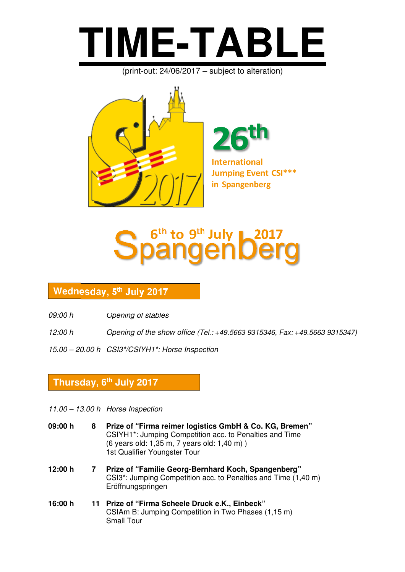

(print-out: 24/06/2017 – subject to alteration)



**International Jumping Event CSI\*\*\***

**in Spangenberg**



## **Donnerstag, 6. Juli 2017 Wednesday, 5 th July 2017**

- *09:00 h Opening of stables*
- *12:00 h Opening of the show office (Tel.: +49.5663 9315346, Fax: +49.5663 9315347)*
- *15.00 20.00 h CSI3\*/CSIYH1\*: Horse Inspection*

### **Thursday, 6th July 2017**

*11.00 – 13.00 h Horse Inspection* 

| 09:00 h | 8 | Prize of "Firma reimer logistics GmbH & Co. KG, Bremen"<br>CSIYH1*: Jumping Competition acc. to Penalties and Time<br>(6 years old: 1,35 m, 7 years old: 1,40 m))<br>1st Qualifier Youngster Tour |
|---------|---|---------------------------------------------------------------------------------------------------------------------------------------------------------------------------------------------------|
| 12:00 h | 7 | Prize of "Familie Georg-Bernhard Koch, Spangenberg"<br>CSI3 <sup>*</sup> : Jumping Competition acc. to Penalties and Time (1,40 m)<br>Eröffnungspringen                                           |
| 16:00 h |   | 11 Prize of "Firma Scheele Druck e.K., Einbeck"<br>CSIAm B: Jumping Competition in Two Phases (1,15 m)<br><b>Small Tour</b>                                                                       |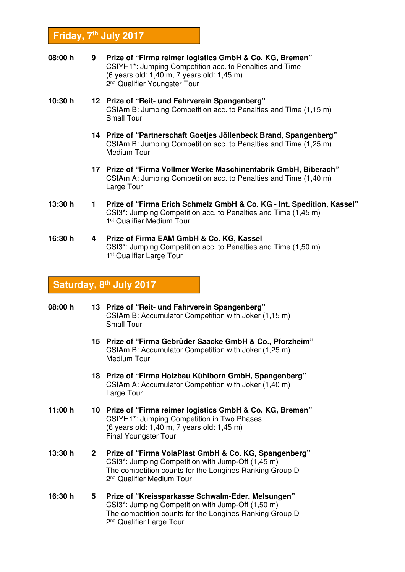#### **Friday, 7th July 2017**

- **08:00 h 9 Prize of "Firma reimer logistics GmbH & Co. KG, Bremen"**  CSIYH1\*: Jumping Competition acc. to Penalties and Time (6 years old: 1,40 m, 7 years old: 1,45 m) 2<sup>nd</sup> Qualifier Youngster Tour
- **10:30 h 12 Prize of "Reit- und Fahrverein Spangenberg"**  CSIAm B: Jumping Competition acc. to Penalties and Time (1,15 m) Small Tour
	- **14 Prize of "Partnerschaft Goetjes Jöllenbeck Brand, Spangenberg"**  CSIAm B: Jumping Competition acc. to Penalties and Time (1,25 m) Medium Tour
	- **17 Prize of "Firma Vollmer Werke Maschinenfabrik GmbH, Biberach"**  CSIAm A: Jumping Competition acc. to Penalties and Time (1,40 m) Large Tour
- **13:30 h 1 Prize of "Firma Erich Schmelz GmbH & Co. KG Int. Spedition, Kassel"**  CSI3\*: Jumping Competition acc. to Penalties and Time (1,45 m) 1 st Qualifier Medium Tour
- **16:30 h 4 Prize of Firma EAM GmbH & Co. KG, Kassel**  CSI3\*: Jumping Competition acc. to Penalties and Time (1,50 m) 1 st Qualifier Large Tour

#### **Saturday, 8th July 2017**

| 08:00 h |             | 13 Prize of "Reit- und Fahrverein Spangenberg"<br>CSIAm B: Accumulator Competition with Joker (1,15 m)<br><b>Small Tour</b>                                                                                                 |  |
|---------|-------------|-----------------------------------------------------------------------------------------------------------------------------------------------------------------------------------------------------------------------------|--|
|         |             | 15 Prize of "Firma Gebrüder Saacke GmbH & Co., Pforzheim"<br>CSIAm B: Accumulator Competition with Joker (1,25 m)<br>Medium Tour                                                                                            |  |
|         |             | 18 Prize of "Firma Holzbau Kühlborn GmbH, Spangenberg"<br>CSIAm A: Accumulator Competition with Joker (1,40 m)<br>Large Tour                                                                                                |  |
| 11:00 h |             | 10 Prize of "Firma reimer logistics GmbH & Co. KG, Bremen"<br>CSIYH1*: Jumping Competition in Two Phases<br>(6 years old: 1,40 m, 7 years old: 1,45 m)<br><b>Final Youngster Tour</b>                                       |  |
| 13:30 h | $2^{\circ}$ | Prize of "Firma VolaPlast GmbH & Co. KG, Spangenberg"<br>CSI3 <sup>*</sup> : Jumping Competition with Jump-Off (1,45 m)<br>The competition counts for the Longines Ranking Group D<br>2 <sup>nd</sup> Qualifier Medium Tour |  |
| 16:30 h | 5           | Prize of "Kreissparkasse Schwalm-Eder, Melsungen"<br>CSI3 <sup>*</sup> : Jumping Competition with Jump-Off (1,50 m)<br>The competition counts for the Longines Ranking Group D<br>2 <sup>nd</sup> Qualifier Large Tour      |  |